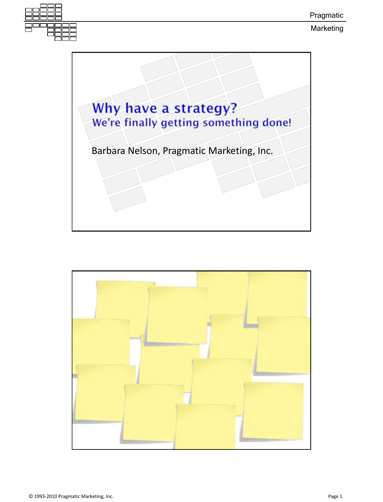

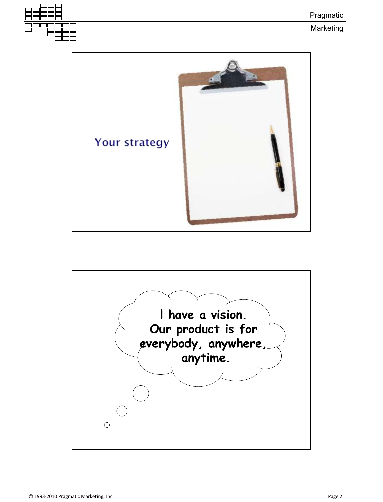

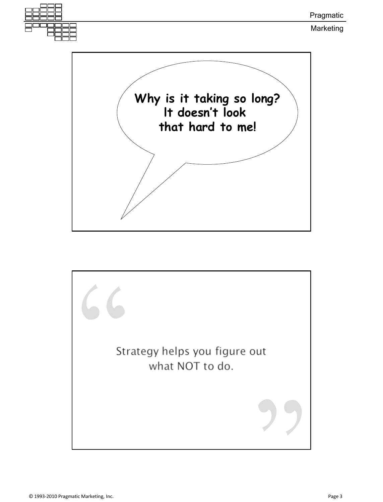

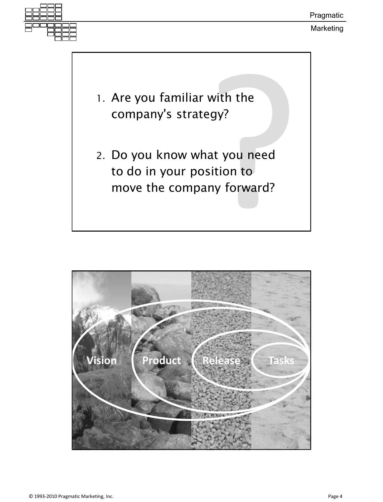

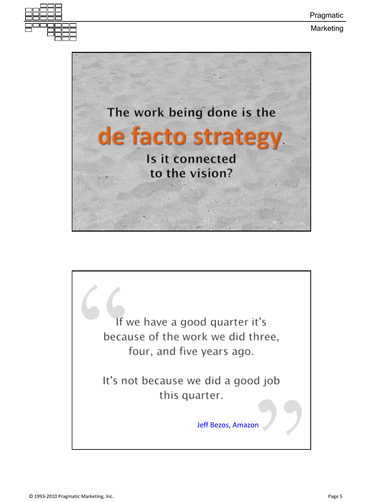



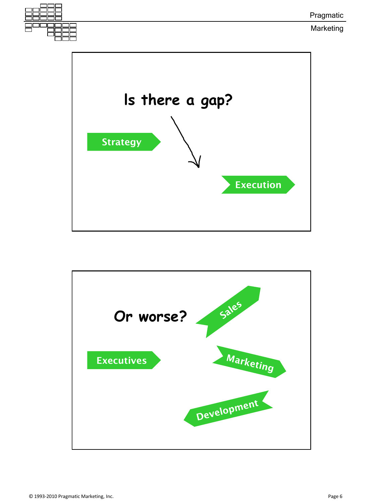



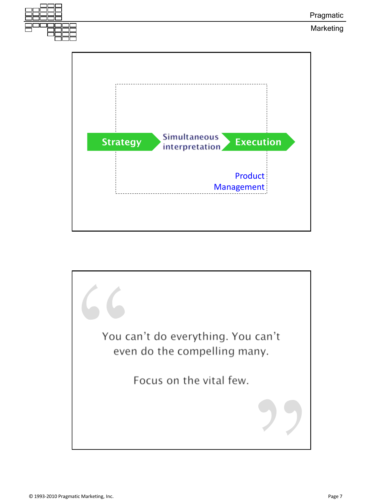

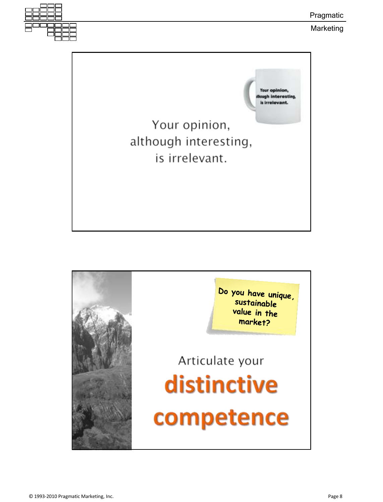

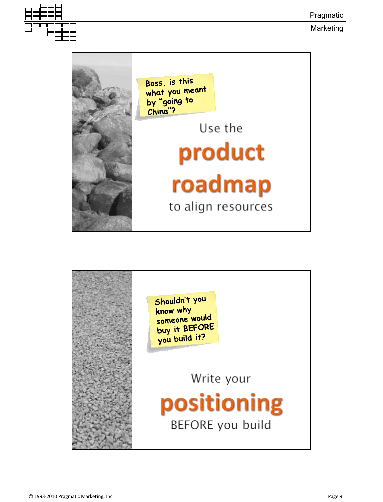Pragmatic



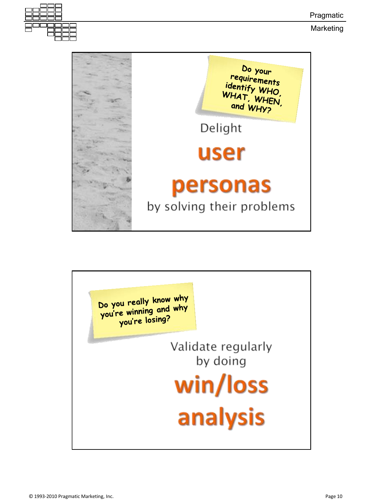Pragmatic



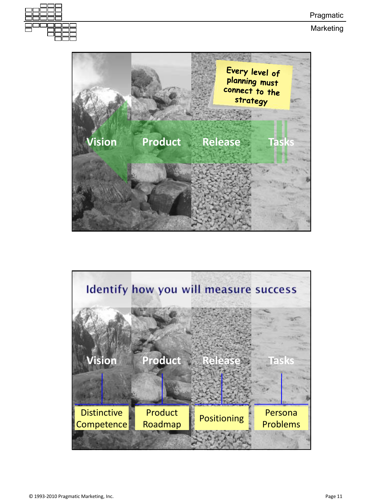



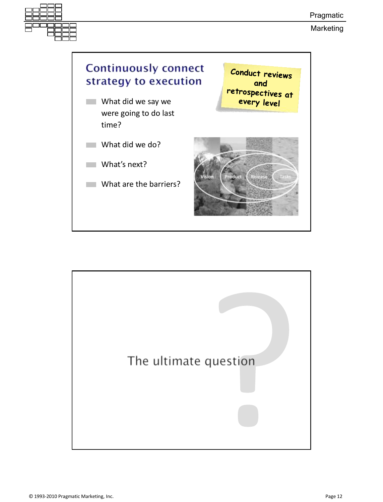

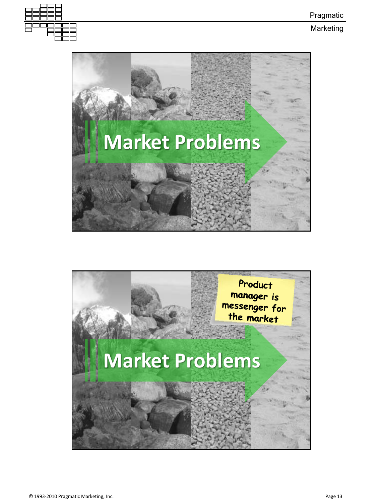



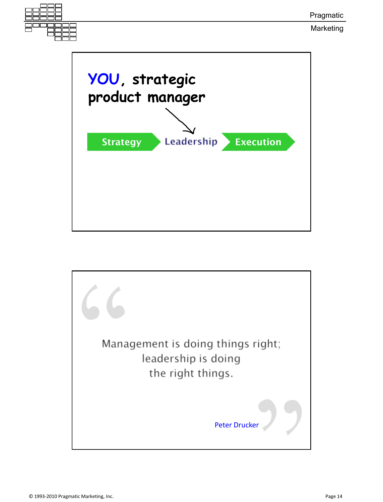